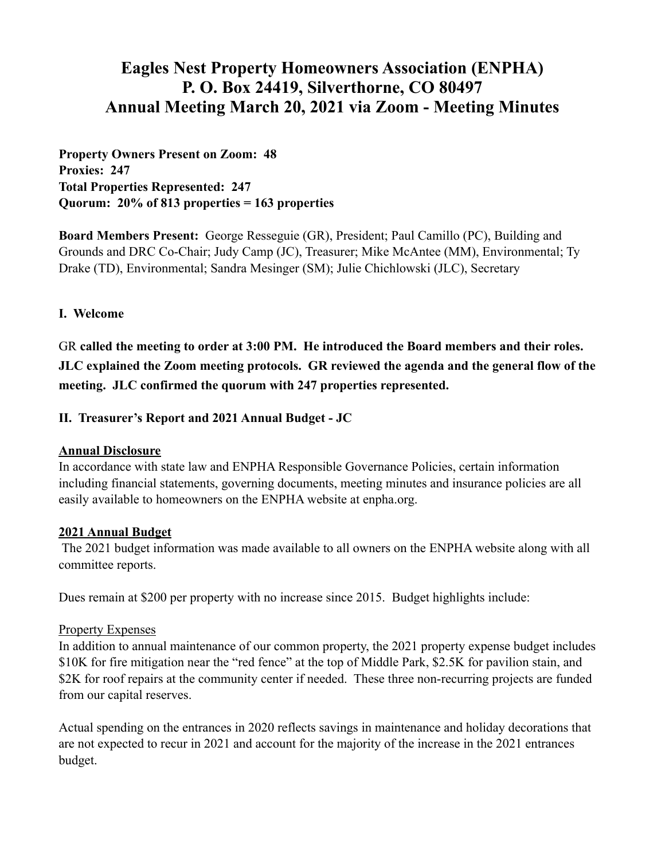# **Eagles Nest Property Homeowners Association (ENPHA) P. O. Box 24419, Silverthorne, CO 80497 Annual Meeting March 20, 2021 via Zoom - Meeting Minutes**

**Property Owners Present on Zoom: 48 Proxies: 247 Total Properties Represented: 247 Quorum: 20% of 813 properties = 163 properties** 

**Board Members Present:** George Resseguie (GR), President; Paul Camillo (PC), Building and Grounds and DRC Co-Chair; Judy Camp (JC), Treasurer; Mike McAntee (MM), Environmental; Ty Drake (TD), Environmental; Sandra Mesinger (SM); Julie Chichlowski (JLC), Secretary

## **I. Welcome**

GR **called the meeting to order at 3:00 PM. He introduced the Board members and their roles. JLC explained the Zoom meeting protocols. GR reviewed the agenda and the general flow of the meeting. JLC confirmed the quorum with 247 properties represented.** 

### **II. Treasurer's Report and 2021 Annual Budget - JC**

#### **Annual Disclosure**

In accordance with state law and ENPHA Responsible Governance Policies, certain information including financial statements, governing documents, meeting minutes and insurance policies are all easily available to homeowners on the ENPHA website at enpha.org.

#### **2021 Annual Budget**

 The 2021 budget information was made available to all owners on the ENPHA website along with all committee reports.

Dues remain at \$200 per property with no increase since 2015. Budget highlights include:

#### Property Expenses

In addition to annual maintenance of our common property, the 2021 property expense budget includes \$10K for fire mitigation near the "red fence" at the top of Middle Park, \$2.5K for pavilion stain, and \$2K for roof repairs at the community center if needed. These three non-recurring projects are funded from our capital reserves.

Actual spending on the entrances in 2020 reflects savings in maintenance and holiday decorations that are not expected to recur in 2021 and account for the majority of the increase in the 2021 entrances budget.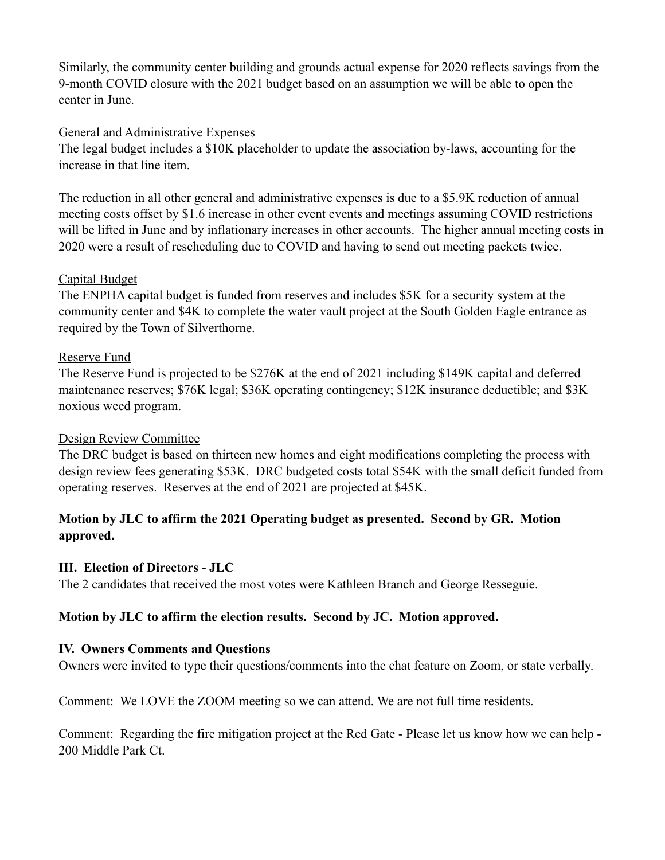Similarly, the community center building and grounds actual expense for 2020 reflects savings from the 9-month COVID closure with the 2021 budget based on an assumption we will be able to open the center in June.

## General and Administrative Expenses

The legal budget includes a \$10K placeholder to update the association by-laws, accounting for the increase in that line item.

The reduction in all other general and administrative expenses is due to a \$5.9K reduction of annual meeting costs offset by \$1.6 increase in other event events and meetings assuming COVID restrictions will be lifted in June and by inflationary increases in other accounts. The higher annual meeting costs in 2020 were a result of rescheduling due to COVID and having to send out meeting packets twice.

### Capital Budget

The ENPHA capital budget is funded from reserves and includes \$5K for a security system at the community center and \$4K to complete the water vault project at the South Golden Eagle entrance as required by the Town of Silverthorne.

### Reserve Fund

The Reserve Fund is projected to be \$276K at the end of 2021 including \$149K capital and deferred maintenance reserves; \$76K legal; \$36K operating contingency; \$12K insurance deductible; and \$3K noxious weed program.

## Design Review Committee

The DRC budget is based on thirteen new homes and eight modifications completing the process with design review fees generating \$53K. DRC budgeted costs total \$54K with the small deficit funded from operating reserves. Reserves at the end of 2021 are projected at \$45K.

## **Motion by JLC to affirm the 2021 Operating budget as presented. Second by GR. Motion approved.**

#### **III. Election of Directors - JLC**

The 2 candidates that received the most votes were Kathleen Branch and George Resseguie.

## **Motion by JLC to affirm the election results. Second by JC. Motion approved.**

#### **IV. Owners Comments and Questions**

Owners were invited to type their questions/comments into the chat feature on Zoom, or state verbally.

Comment: We LOVE the ZOOM meeting so we can attend. We are not full time residents.

Comment: Regarding the fire mitigation project at the Red Gate - Please let us know how we can help - 200 Middle Park Ct.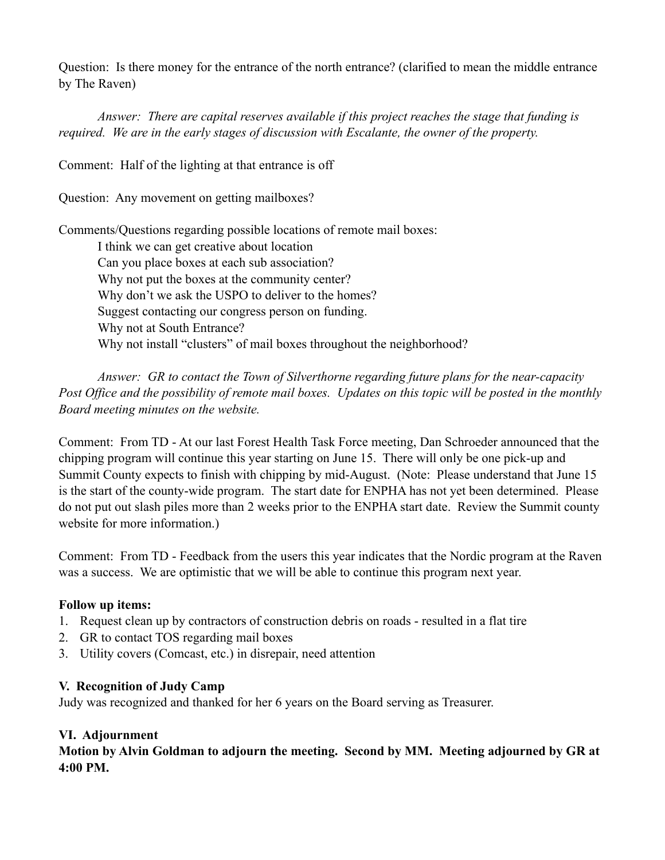Question: Is there money for the entrance of the north entrance? (clarified to mean the middle entrance by The Raven)

*Answer: There are capital reserves available if this project reaches the stage that funding is required. We are in the early stages of discussion with Escalante, the owner of the property.* 

Comment: Half of the lighting at that entrance is off

Question: Any movement on getting mailboxes?

Comments/Questions regarding possible locations of remote mail boxes:

 I think we can get creative about location Can you place boxes at each sub association? Why not put the boxes at the community center? Why don't we ask the USPO to deliver to the homes? Suggest contacting our congress person on funding. Why not at South Entrance? Why not install "clusters" of mail boxes throughout the neighborhood?

*Answer: GR to contact the Town of Silverthorne regarding future plans for the near-capacity Post Office and the possibility of remote mail boxes. Updates on this topic will be posted in the monthly Board meeting minutes on the website.*

Comment: From TD - At our last Forest Health Task Force meeting, Dan Schroeder announced that the chipping program will continue this year starting on June 15. There will only be one pick-up and Summit County expects to finish with chipping by mid-August. (Note: Please understand that June 15 is the start of the county-wide program. The start date for ENPHA has not yet been determined. Please do not put out slash piles more than 2 weeks prior to the ENPHA start date. Review the Summit county website for more information.)

Comment: From TD - Feedback from the users this year indicates that the Nordic program at the Raven was a success. We are optimistic that we will be able to continue this program next year.

## **Follow up items:**

- 1. Request clean up by contractors of construction debris on roads resulted in a flat tire
- 2. GR to contact TOS regarding mail boxes
- 3. Utility covers (Comcast, etc.) in disrepair, need attention

## **V. Recognition of Judy Camp**

Judy was recognized and thanked for her 6 years on the Board serving as Treasurer.

## **VI. Adjournment**

**Motion by Alvin Goldman to adjourn the meeting. Second by MM. Meeting adjourned by GR at 4:00 PM.**